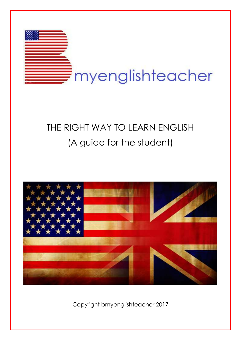

# THE RIGHT WAY TO LEARN ENGLISH (A guide for the student)



Copyright bmyenglishteacher 2017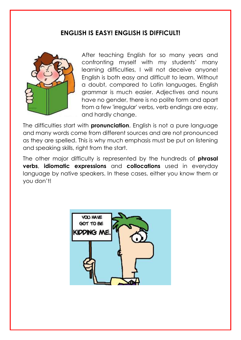### **ENGLISH IS EASY! ENGLISH IS DIFFICULT!**



After teaching English for so many years and confronting myself with my students' many learning difficulties, I will not deceive anyone! English is both easy and difficult to learn. Without a doubt, compared to Latin languages, English grammar is much easier. Adjectives and nouns have no gender, there is no polite form and apart from a few 'irregular' verbs, verb endings are easy, and hardly change.

The difficulties start with **pronunciation**. English is not a pure language and many words come from different sources and are not pronounced as they are spelled. This is why much emphasis must be put on listening and speaking skills, right from the start.

The other major difficulty is represented by the hundreds of **phrasal verbs**, **idiomatic expressions** and **collocations** used in everyday language by native speakers. In these cases, either you know them or you don't!

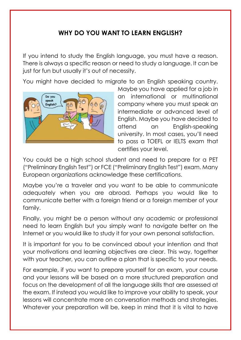# **WHY DO YOU WANT TO LEARN ENGLISH?**

If you intend to study the English language, you must have a reason. There is always a specific reason or need to study a language. It can be just for fun but usually it's out of necessity.

You might have decided to migrate to an English speaking country.



Maybe you have applied for a job in an international or multinational company where you must speak an intermediate or advanced level of English. Maybe you have decided to attend an English-speaking university. In most cases, you'll need to pass a TOEFL or IELTS exam that certifies your level.

You could be a high school student and need to prepare for a PET ("Preliminary English Test") or FCE ("Preliminary English Test") exam. Many European organizations acknowledge these certifications.

Maybe you're a traveler and you want to be able to communicate adequately when you are abroad. Perhaps you would like to communicate better with a foreign friend or a foreign member of your family.

Finally, you might be a person without any academic or professional need to learn English but you simply want to navigate better on the Internet or you would like to study it for your own personal satisfaction.

It is important for you to be convinced about your intention and that your motivations and learning objectives are clear. This way, together with your teacher, you can outline a plan that is specific to your needs.

For example, if you want to prepare yourself for an exam, your course and your lessons will be based on a more structured preparation and focus on the development of all the language skills that are assessed at the exam. If instead you would like to improve your ability to speak, your lessons will concentrate more on conversation methods and strategies. Whatever your preparation will be, keep in mind that it is vital to have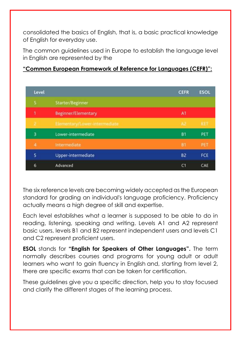consolidated the basics of English, that is, a basic practical knowledge of English for everyday use.

The common guidelines used in Europe to establish the language level in English are represented by the

#### **"Common European Framework of Reference for Languages (CEFR)":**

| Level |                               | <b>CEFR</b>    | <b>ESOL</b> |
|-------|-------------------------------|----------------|-------------|
|       | Starter/Beginner              |                |             |
|       | <b>Beginner/Elementary</b>    | A1             |             |
| 2     | Elementary/Lower-intermediate | A2             | KET         |
| 3     | Lower-intermediate            | <b>B1</b>      | PET         |
| 4     | Intermediate                  | B1             | PET         |
| 5     | Upper-intermediate            | B <sub>2</sub> | FCE         |
| 6     | Advanced                      | C1             | CAE         |

The six reference levels are becoming widely accepted as the European standard for grading an individual's [language proficiency.](https://en.wikipedia.org/wiki/Language_proficiency) Proficiency actually means a high degree of skill and expertise.

Each level establishes what a learner is supposed to be able to do in reading, listening, speaking and writing. Levels A1 and A2 represent basic users, levels B1 and B2 represent independent users and levels C1 and C2 represent proficient users.

**ESOL** stands for **"English for Speakers of Other Languages".** The term normally describes courses and programs for young adult or adult learners who want to gain fluency in English and, starting from level 2, there are specific exams that can be taken for certification.

These guidelines give you a specific direction, help you to stay focused and clarify the different stages of the learning process.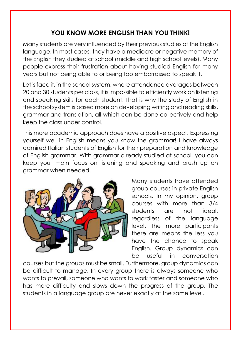# **YOU KNOW MORE ENGLISH THAN YOU THINK!**

Many students are very influenced by their previous studies of the English language. In most cases, they have a mediocre or negative memory of the English they studied at school (middle and high school levels). Many people express their frustration about having studied English for many years but not being able to or being too embarrassed to speak it.

Let's face it, in the school system, where attendance averages between 20 and 30 students per class, it is impossible to efficiently work on listening and speaking skills for each student. That is why the study of English in the school system is based more on developing writing and reading skills, grammar and translation, all which can be done collectively and help keep the class under control.

This more academic approach does have a positive aspect! Expressing yourself well in English means you know the grammar! I have always admired Italian students of English for their preparation and knowledge of English grammar. With grammar already studied at school, you can keep your main focus on listening and speaking and brush up on grammar when needed.



Many students have attended group courses in private English schools. In my opinion, group courses with more than 3/4 students are not ideal, regardless of the language level. The more participants there are means the less you have the chance to speak English. Group dynamics can be useful in conversation

courses but the groups must be small. Furthermore, group dynamics can be difficult to manage. In every group there is always someone who wants to prevail, someone who wants to work faster and someone who has more difficulty and slows down the progress of the group. The students in a language group are never exactly at the same level.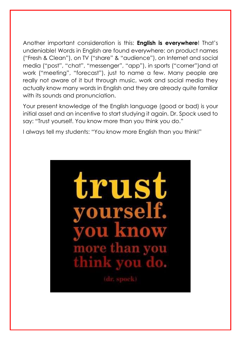Another important consideration is this: **English is everywhere**! That's undeniable! Words in English are found everywhere: on product names ("Fresh & Clean"), on TV ("share" & "audience"), on Internet and social media ("post", "chat", "messenger", "app"), in sports ("corner")and at work ("meeting", "forecast"), just to name a few. Many people are really not aware of it but through music, work and social media they actually know many words in English and they are already quite familiar with its sounds and pronunciation.

Your present knowledge of the English language (good or bad) is your initial asset and an incentive to start studying it again. Dr. Spock used to say: "Trust yourself. You know more than you think you do."

I always tell my students: "You know more English than you think!"

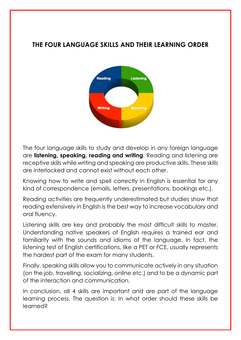## **THE FOUR LANGUAGE SKILLS AND THEIR LEARNING ORDER**



The four language skills to study and develop in any foreign language are **listening, speaking, reading and writing**. Reading and listening are receptive skills while writing and speaking are productive skills. These skills are interlocked and cannot exist without each other.

Knowing how to write and spell correctly in English is essential for any kind of correspondence (emails, letters, presentations, bookings etc.).

Reading activities are frequently underestimated but studies show that reading extensively in English is the best way to increase vocabulary and oral fluency.

Listening skills are key and probably the most difficult skills to master. Understanding native speakers of English requires a trained ear and familiarity with the sounds and idioms of the language. In fact, the listening test of English certifications, like a PET or FCE, usually represents the hardest part of the exam for many students.

Finally, speaking skills allow you to communicate actively in any situation (on the job, travelling, socializing, online etc.) and to be a dynamic part of the interaction and communication.

In conclusion, all 4 skills are important and are part of the language learning process. The question is: In what order should these skills be learned?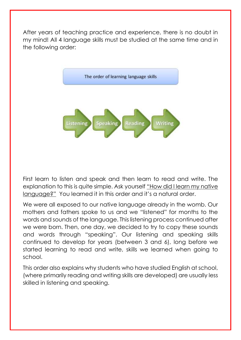After years of teaching practice and experience, there is no doubt in my mind! All 4 language skills must be studied at the same time and in the following order:



First learn to listen and speak and then learn to read and write. The explanation to this is quite simple. Ask yourself "How did I learn my native language?" You learned it in this order and it's a natural order.

We were all exposed to our native language already in the womb. Our mothers and fathers spoke to us and we "listened" for months to the words and sounds of the language. This listening process continued after we were born. Then, one day, we decided to try to copy these sounds and words through "speaking". Our listening and speaking skills continued to develop for years (between 3 and 6), long before we started learning to read and write, skills we learned when going to school.

This order also explains why students who have studied English at school, (where primarily reading and writing skills are developed) are usually less skilled in listening and speaking.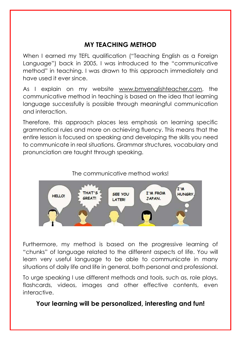# **MY TEACHING METHOD**

When I earned my TEFL qualification ("Teaching English as a Foreign Language") back in 2005, I was introduced to the "communicative method" in teaching. I was drawn to this approach immediately and have used it ever since.

As I explain on my website [www.bmyenglishteacher.com,](http://www.bmyenglishteacher.com/) the communicative method in teaching is based on the idea that learning language successfully is possible through meaningful communication and interaction.

Therefore, this approach places less emphasis on learning specific grammatical rules and more on achieving fluency. This means that the entire lesson is focused on speaking and developing the skills you need to communicate in real situations. Grammar structures, vocabulary and pronunciation are taught through speaking.





Furthermore, my method is based on the progressive learning of "chunks" of language related to the different aspects of life. You will learn very useful language to be able to communicate in many situations of daily life and life in general, both personal and professional.

To urge speaking I use different methods and tools, such as, role plays, flashcards, videos, images and other effective contents, even interactive.

### **Your learning will be personalized, interesting and fun!**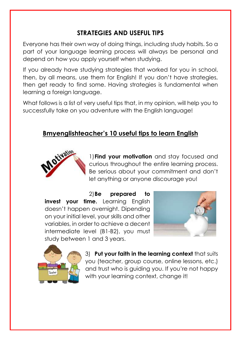# **STRATEGIES AND USEFUL TIPS**

Everyone has their own way of doing things, including study habits. So a part of your language learning process will always be personal and depend on how you apply yourself when studying.

If you already have studying strategies that worked for you in school, then, by all means, use them for English! If you don't have strategies, then get ready to find some. Having strategies is fundamental when learning a foreign language.

What follows is a list of very useful tips that, in my opinion, will help you to successfully take on you adventure with the English language!

# **Bmyenglishteacher's 10 useful tips to learn English**



1)**Find your motivation** and stay focused and curious throughout the entire learning process. Be serious about your commitment and don't let anything or anyone discourage you!

2)**Be prepared to invest your time.** Learning English doesn't happen overnight. Dipending on your initial level, your skills and other variables, in order to achieve a decent intermediate level (B1-B2), you must study between 1 and 3 years.





3) **Put your faith in the learning context** that suits you (teacher, group course, online lessons, etc.) and trust who is guiding you. If you're not happy with your learning context, change it!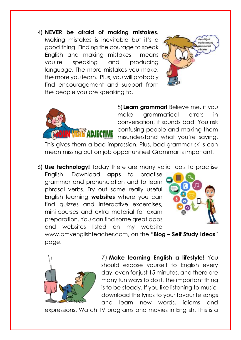4) **NEVER be afraid of making mistakes.** Making mistakes is inevitable but it's a good thing! Finding the courage to speak English and making mistakes means you're speaking and producing language. The more mistakes you make, the more you learn. Plus, you will probably find encouragement and support from the people you are speaking to.





5)**Learn grammar!** Believe me, if you make grammatical errors in conversation, it sounds bad. You risk confusing people and making them misunderstand what you're saying.

This gives them a bad impression. Plus, bad grammar skills can mean missing out on job opportunities! Grammar is important!

6) **Use technology!** Today there are many valid tools to practise

English. Download **apps** to practise grammar and pronunciation and to learn phrasal verbs. Try out some really useful English learning **websites** where you can find quizzes and interactive excercises, mini-courses and extra material for exam preparation. You can find some great apps and websites listed on my website



[www.bmyenglishteacher.com,](http://www.bmyenglishteacher.com/) on the "**Blog – Self Study Ideas**" page.



7) **Make learning English a lifestyle**! You should expose yourself to English every day, even for just 15 minutes, and there are many fun ways to do it. The important thing is to be steady. If you like listening to music, download the lyrics to your favourite songs and learn new words, idioms and

expressions. Watch TV programs and movies in English. This is a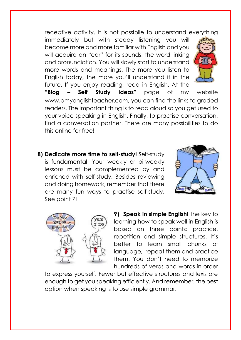receptive activity. It is not possibile to understand everything

immediately but with steady listening you will become more and more familiar with English and you will acquire an "ear" for its sounds, the word linking and pronunciation. You will slowly start to understand more words and meanings. The more you listen to English today, the more you'll understand it in the future. If you enjoy reading, read in English. At the



**"Blog – Self Study Ideas"** page of my website [www.bmyenglishteacher.com](http://www.bmyenglishteacher.com/), you can find the links to graded readers. The important thing is to read aloud so you get used to your voice speaking in English. Finally, to practise conversation, find a conversation partner. There are many possibilities to do this online for free!

**8) Dedicate more time to self-study!** Self-study is fundamental. Your weekly or bi-weekly lessons must be complemented by and enriched with self-study. Besides reviewing and doing homework, remember that there are many fun ways to practise self-study. See point 7!





**9) Speak in simple English!** The key to learning how to speak well in English is based on three points: practice, repetition and simple structures. It's better to learn small chunks of language, repeat them and practice them. You don't need to memorize hundreds of verbs and words in order

to express yourself! Fewer but effective structures and lexis are enough to get you speaking efficiently. And remember, the best option when speaking is to use simple grammar.